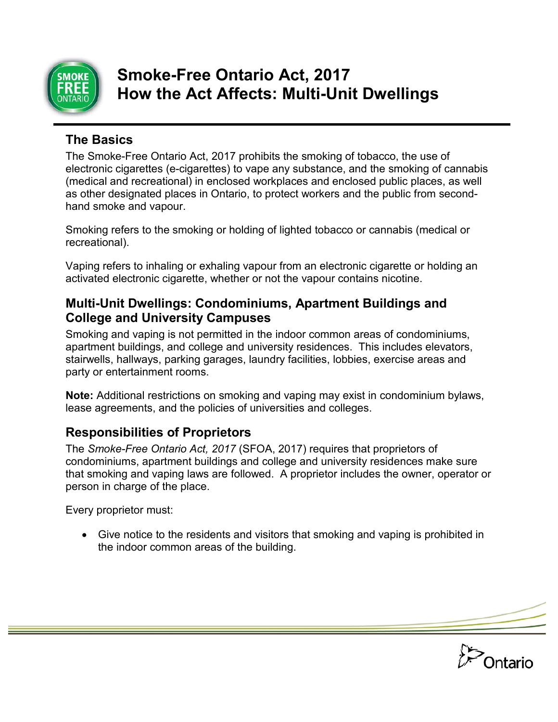

# **Smoke-Free Ontario Act, 2017 How the Act Affects: Multi-Unit Dwellings**

### **The Basics**

The Smoke-Free Ontario Act, 2017 prohibits the smoking of tobacco, the use of electronic cigarettes (e-cigarettes) to vape any substance, and the smoking of cannabis (medical and recreational) in enclosed workplaces and enclosed public places, as well as other designated places in Ontario, to protect workers and the public from secondhand smoke and vapour.

Smoking refers to the smoking or holding of lighted tobacco or cannabis (medical or recreational).

Vaping refers to inhaling or exhaling vapour from an electronic cigarette or holding an activated electronic cigarette, whether or not the vapour contains nicotine.

#### **Multi-Unit Dwellings: Condominiums, Apartment Buildings and College and University Campuses**

Smoking and vaping is not permitted in the indoor common areas of condominiums, apartment buildings, and college and university residences. This includes elevators, stairwells, hallways, parking garages, laundry facilities, lobbies, exercise areas and party or entertainment rooms.

**Note:** Additional restrictions on smoking and vaping may exist in condominium bylaws, lease agreements, and the policies of universities and colleges.

## **Responsibilities of Proprietors**

The *Smoke-Free Ontario Act, 2017* (SFOA, 2017) requires that proprietors of condominiums, apartment buildings and college and university residences make sure that smoking and vaping laws are followed. A proprietor includes the owner, operator or person in charge of the place.

Every proprietor must:

• Give notice to the residents and visitors that smoking and vaping is prohibited in the indoor common areas of the building.

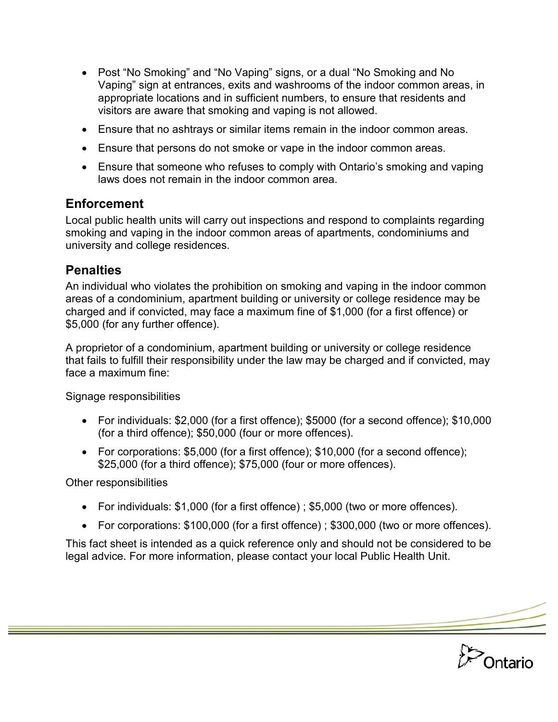- Post "No Smoking" and "No Vaping" signs, or a dual "No Smoking and No Vaping" sign at entrances, exits and washrooms of the indoor common areas, in appropriate locations and in sufficient numbers, to ensure that residents and visitors are aware that smoking and vaping is not allowed.
- Ensure that no ashtrays or similar items remain in the indoor common areas.
- Ensure that persons do not smoke or vape in the indoor common areas.
- Ensure that someone who refuses to comply with Ontario's smoking and vaping laws does not remain in the indoor common area.

### **Enforcement**

Local public health units will carry out inspections and respond to complaints regarding smoking and vaping in the indoor common areas of apartments, condominiums and university and college residences.

### **Penalties**

An individual who violates the prohibition on smoking and vaping in the indoor common areas of a condominium, apartment building or university or college residence may be charged and if convicted, may face a maximum fine of \$1,000 (for a first offence) or \$5,000 (for any further offence).

A proprietor of a condominium, apartment building or university or college residence that fails to fulfill their responsibility under the law may be charged and if convicted, may face a maximum fine:

Signage responsibilities

- For individuals: \$2,000 (for a first offence); \$5000 (for a second offence); \$10,000 (for a third offence); \$50,000 (four or more offences).
- For corporations: \$5,000 (for a first offence); \$10,000 (for a second offence); \$25,000 (for a third offence); \$75,000 (four or more offences).

Other responsibilities

- For individuals: \$1,000 (for a first offence) ; \$5,000 (two or more offences).
- For corporations: \$100,000 (for a first offence) ; \$300,000 (two or more offences).

Ontario

This fact sheet is intended as a quick reference only and should not be considered to be legal advice. For more information, please contact your local Public Health Unit.